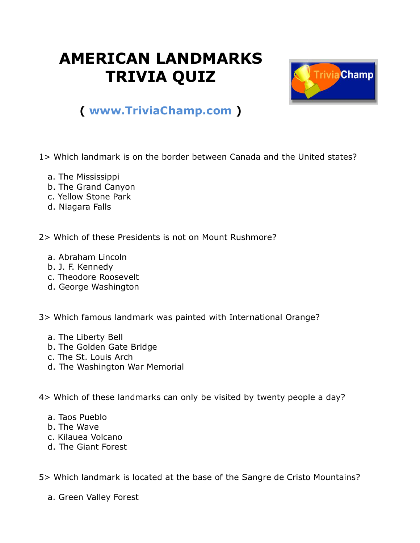## **AMERICAN LANDMARKS TRIVIA QUIZ**



## **( [www.TriviaChamp.com](http://www.triviachamp.com/) )**

1> Which landmark is on the border between Canada and the United states?

- a. The Mississippi
- b. The Grand Canyon
- c. Yellow Stone Park
- d. Niagara Falls

2> Which of these Presidents is not on Mount Rushmore?

- a. Abraham Lincoln
- b. J. F. Kennedy
- c. Theodore Roosevelt
- d. George Washington

3> Which famous landmark was painted with International Orange?

- a. The Liberty Bell
- b. The Golden Gate Bridge
- c. The St. Louis Arch
- d. The Washington War Memorial

4> Which of these landmarks can only be visited by twenty people a day?

- a. Taos Pueblo
- b. The Wave
- c. Kilauea Volcano
- d. The Giant Forest

5> Which landmark is located at the base of the Sangre de Cristo Mountains?

a. Green Valley Forest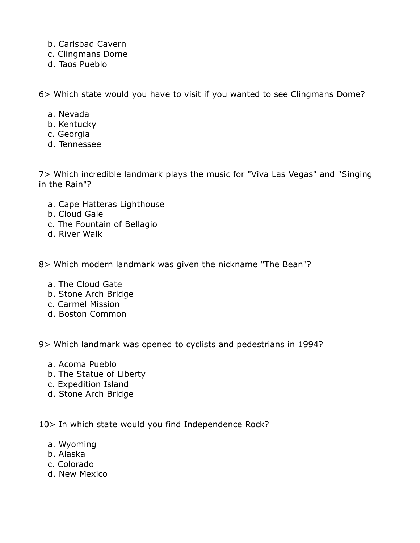- b. Carlsbad Cavern
- c. Clingmans Dome
- d. Taos Pueblo

6> Which state would you have to visit if you wanted to see Clingmans Dome?

- a. Nevada
- b. Kentucky
- c. Georgia
- d. Tennessee

7> Which incredible landmark plays the music for "Viva Las Vegas" and "Singing in the Rain"?

- a. Cape Hatteras Lighthouse
- b. Cloud Gale
- c. The Fountain of Bellagio
- d. River Walk

8> Which modern landmark was given the nickname "The Bean"?

- a. The Cloud Gate
- b. Stone Arch Bridge
- c. Carmel Mission
- d. Boston Common

9> Which landmark was opened to cyclists and pedestrians in 1994?

- a. Acoma Pueblo
- b. The Statue of Liberty
- c. Expedition Island
- d. Stone Arch Bridge

10> In which state would you find Independence Rock?

- a. Wyoming
- b. Alaska
- c. Colorado
- d. New Mexico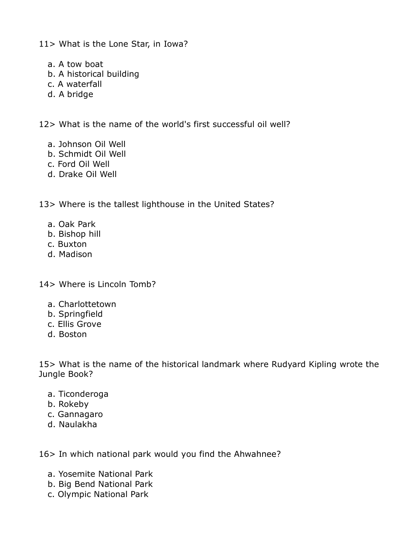11> What is the Lone Star, in Iowa?

- a. A tow boat
- b. A historical building
- c. A waterfall
- d. A bridge

12> What is the name of the world's first successful oil well?

- a. Johnson Oil Well
- b. Schmidt Oil Well
- c. Ford Oil Well
- d. Drake Oil Well

13> Where is the tallest lighthouse in the United States?

- a. Oak Park
- b. Bishop hill
- c. Buxton
- d. Madison

14> Where is Lincoln Tomb?

- a. Charlottetown
- b. Springfield
- c. Ellis Grove
- d. Boston

15> What is the name of the historical landmark where Rudyard Kipling wrote the Jungle Book?

- a. Ticonderoga
- b. Rokeby
- c. Gannagaro
- d. Naulakha

16> In which national park would you find the Ahwahnee?

- a. Yosemite National Park
- b. Big Bend National Park
- c. Olympic National Park